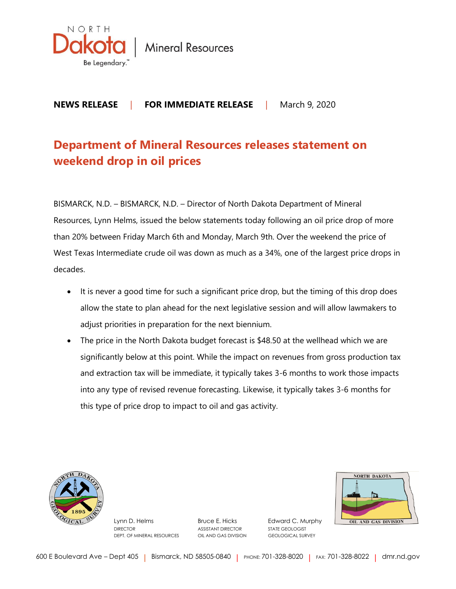

**Mineral Resources** 

## **NEWS RELEASE** | **FOR IMMEDIATE RELEASE** |March 9, 2020

## **Department of Mineral Resources releases statement on weekend drop in oil prices**

BISMARCK, N.D. – BISMARCK, N.D. – Director of North Dakota Department of Mineral Resources, Lynn Helms, issued the below statements today following an oil price drop of more than 20% between Friday March 6th and Monday, March 9th. Over the weekend the price of West Texas Intermediate crude oil was down as much as a 34%, one of the largest price drops in decades.

- It is never a good time for such a significant price drop, but the timing of this drop does allow the state to plan ahead for the next legislative session and will allow lawmakers to adjust priorities in preparation for the next biennium.
- The price in the North Dakota budget forecast is \$48.50 at the wellhead which we are significantly below at this point. While the impact on revenues from gross production tax and extraction tax will be immediate, it typically takes 3-6 months to work those impacts into any type of revised revenue forecasting. Likewise, it typically takes 3-6 months for this type of price drop to impact to oil and gas activity.



Lynn D. Helms Bruce E. Hicks Edward C. Murphy DIRECTOR ASSISTANT DIRECTOR STATE GEOLOGIST DEPT. OF MINERAL RESOURCES OIL AND GAS DIVISION GEOLOGICAL SURVEY